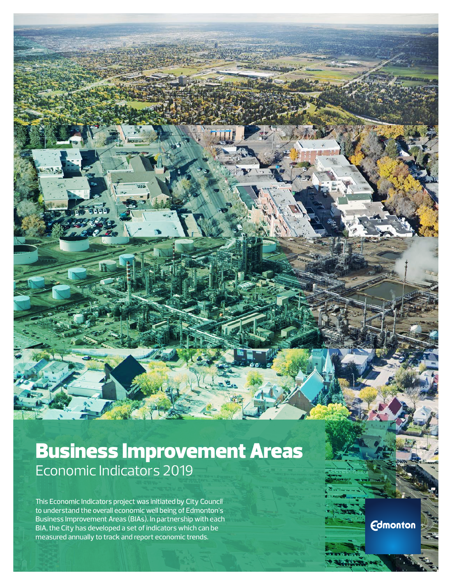# Business Improvement Areas Economic Indicators 2019

This Economic Indicators project was initiated by City Council to understand the overall economic well being of Edmonton's Business Improvement Areas (BIAs). In partnership with each BIA, the City has developed a set of indicators which can be measured annually to track and report economic trends.

**Edmonton**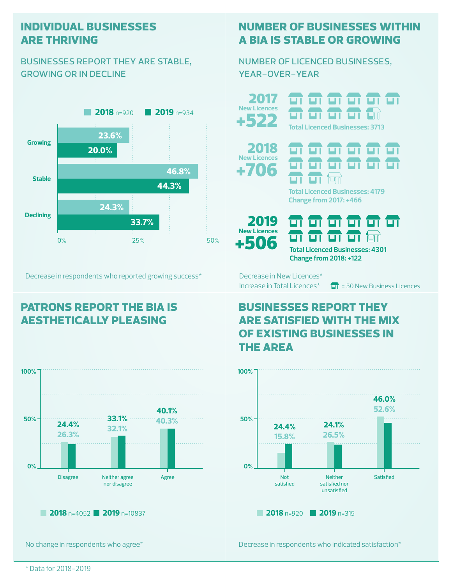#### **individual businesses are thriving**

#### businesses report they are stable, growing or in decline



Decrease in respondents who reported growing success\*

## **patrons report the bia is aesthetically pleasing**



No change in respondents who agree\*

### **number of businesses within a bia is stable or growing**

ण ण ण ण ण ण

number of licenced businesses, year-over-year

**New Licences** <del>a a a a</del> +522 **Total Licenced Businesses: 3713** <del>a a a a a a</del> 2018 **New Licences** <del>01 01 01 01 01</del>  $+706$   $\frac{11}{11}$   $\frac{11}{11}$ பா **Total Licenced Businesses: 4179 Change from 2017: +466** 2019

**New Licences**

2017

ज ज ज ज ज ज **+506** Total Licenced Businesses: 4301 **Change from 2018: +122**

Decrease in New Licences\*

Increase in Total Licences<sup>\*</sup>  $\boxed{1}$  = 50 New Business Licences

### **businesses report they are satisfied with the mix of existing businesses in the area**



Decrease in respondents who indicated satisfaction\*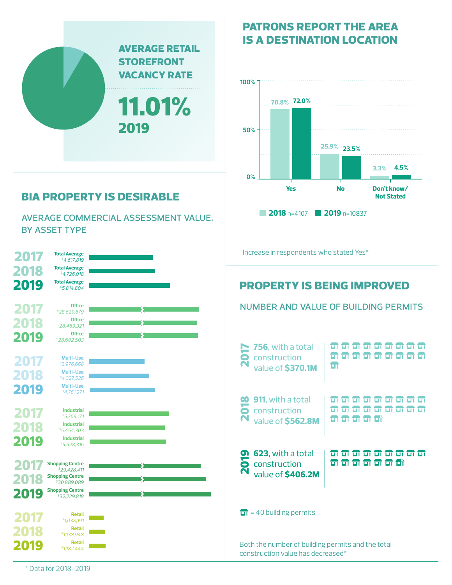

### **bia property is desirable**

average commercial assessment value, by asset type



**patrons report the area is a destination location**



number and value of building permits

\* Data for 2018-2019